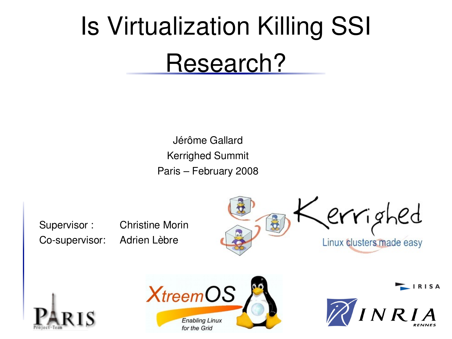# Is Virtualization Killing SSI Research?

Jérôme Gallard Kerrighed Summit Paris – February 2008

Supervisor : Christine Morin Co-supervisor: Adrien Lèbre









 $\blacksquare$  IRISA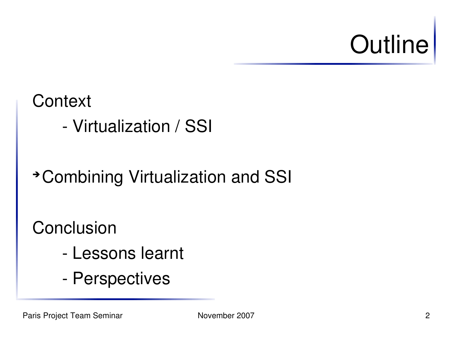# **Outline**

### **Context**

Virtualization / SSI

### ➔ Combining Virtualization and SSI

**Conclusion** 

- Lessons learnt
- Perspectives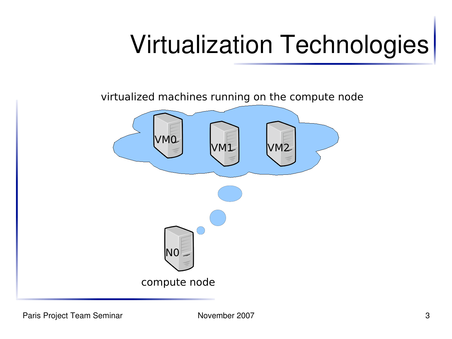# Virtualization Technologies

virtualized machines running on the compute node

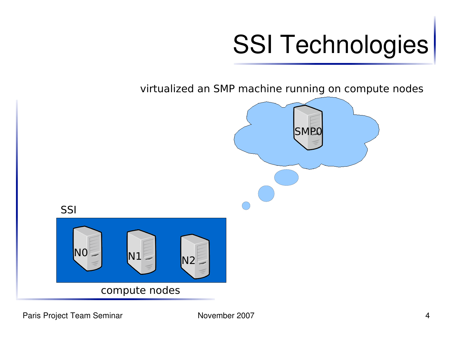

virtualized an SMP machine running on compute nodes

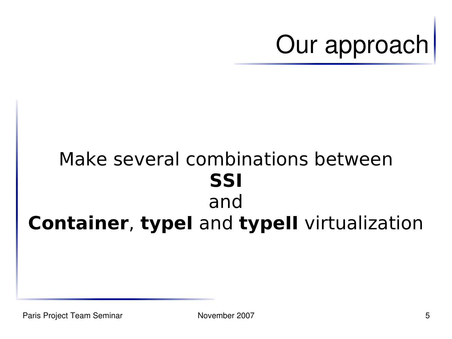

### Make several combinations between **SSI** and **Container**, **typeI** and **typeII** virtualization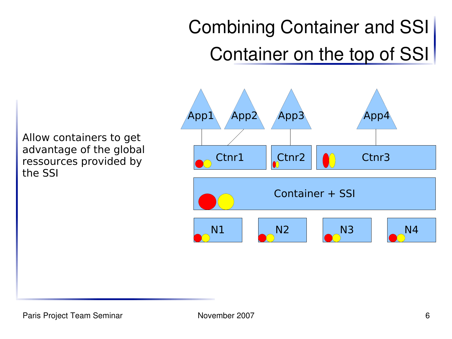## Combining Container and SSI Container on the top of SSI

Allow containers to get advantage of the global ressources provided by the SSI

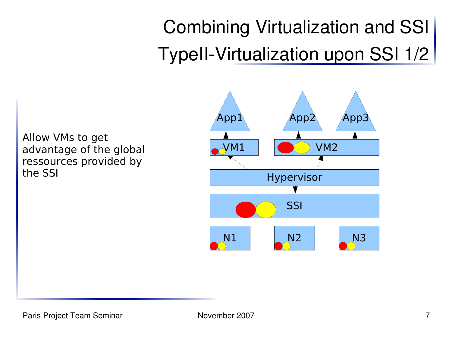## Combining Virtualization and SSI TypeII-Virtualization upon SSI 1/2

Allow VMs to get advantage of the global ressources provided by the SSI

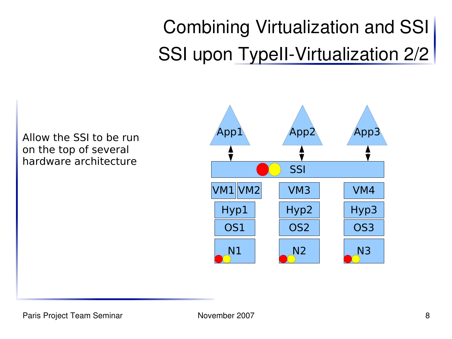## Combining Virtualization and SSI SSI upon TypeII-Virtualization 2/2

Allow the SSI to be run on the top of several hardware architecture

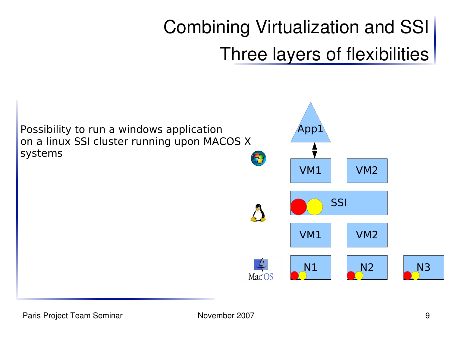### Combining Virtualization and SSI Three layers of flexibilities

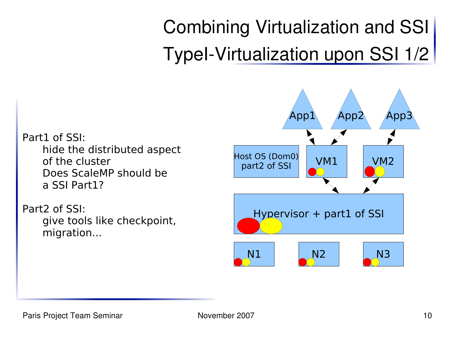## Combining Virtualization and SSI TypeI-Virtualization upon SSI 1/2

Part1 of SSI: hide the distributed aspect of the cluster Does ScaleMP should be a SSI Part1?

Part2 of SSI: give tools like checkpoint, migration...

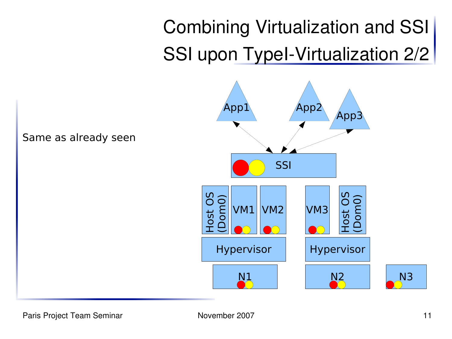### Combining Virtualization and SSI SSI upon Typel-Virtualization 2/2



Paris Project Team Seminar November 2007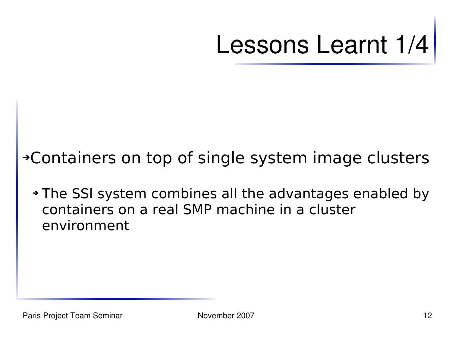Lessons Learnt 1/4

### ➔Containers on top of single system image clusters

➔ The SSI system combines all the advantages enabled by containers on a real SMP machine in a cluster environment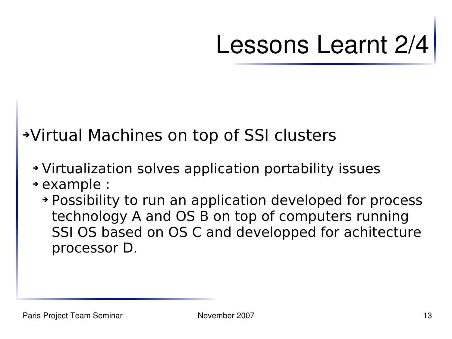# Lessons Learnt 2/4

### ➔Virtual Machines on top of SSI clusters

- ➔ Virtualization solves application portability issues
- ➔ example :
	- ➔ Possibility to run an application developed for process technology A and OS B on top of computers running SSI OS based on OS C and developped for achitecture processor D.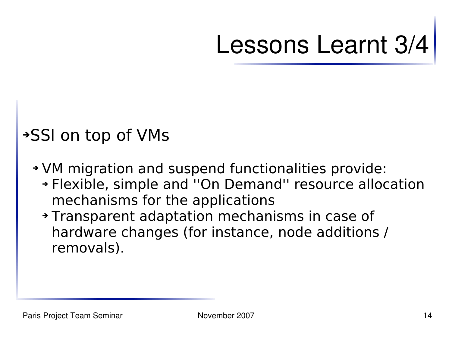# Lessons Learnt 3/4

### ➔SSI on top of VMs

- ➔ VM migration and suspend functionalities provide:
	- ➔ Flexible, simple and ''On Demand'' resource allocation mechanisms for the applications
	- ➔ Transparent adaptation mechanisms in case of hardware changes (for instance, node additions / removals).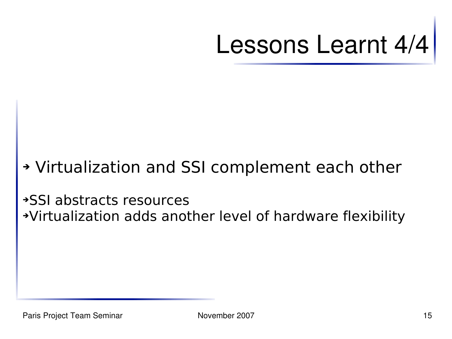Lessons Learnt 4/4

### ➔ Virtualization and SSI complement each other

➔SSI abstracts resources ➔Virtualization adds another level of hardware flexibility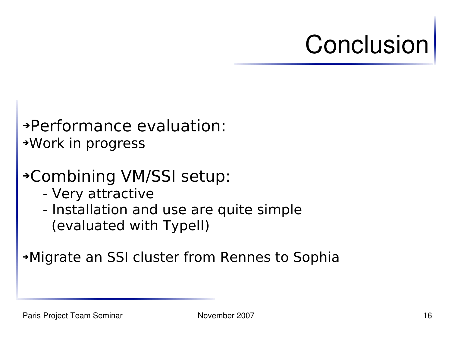# **Conclusion**

#### ➔Performance evaluation: ➔Work in progress

### ➔Combining VM/SSI setup:

- Very attractive
- Installation and use are quite simple (evaluated with TypeII)

#### ➔Migrate an SSI cluster from Rennes to Sophia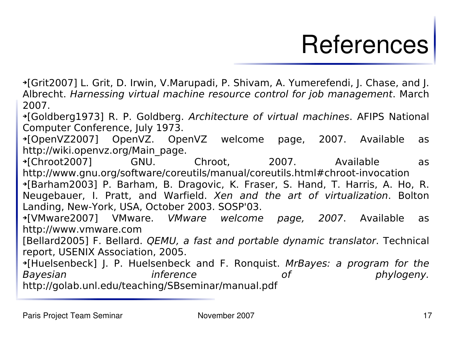## **References**

➔[Grit2007] L. Grit, D. Irwin, V.Marupadi, P. Shivam, A. Yumerefendi, J. Chase, and J. Albrecht. Harnessing virtual machine resource control for job management. March 2007.

➔[Goldberg1973] R. P. Goldberg. Architecture of virtual machines. AFIPS National Computer Conference, July 1973.

➔[OpenVZ2007] OpenVZ. OpenVZ welcome page, 2007. Available as http://wiki.openvz.org/Main\_page.

➔[Chroot2007] GNU. Chroot, 2007. Available as http://www.gnu.org/software/coreutils/manual/coreutils.html#chroot-invocation ➔[Barham2003] P. Barham, B. Dragovic, K. Fraser, S. Hand, T. Harris, A. Ho, R. Neugebauer, I. Pratt, and Warfield. Xen and the art of virtualization. Bolton Landing, New-York, USA, October 2003. SOSP'03.

➔[VMware2007] VMware. VMware welcome page, 2007. Available as http://www.vmware.com

[Bellard2005] F. Bellard. QEMU, a fast and portable dynamic translator. Technical report, USENIX Association, 2005.

➔[Huelsenbeck] J. P. Huelsenbeck and F. Ronquist. MrBayes: a program for the Bayesian inference of phylogeny. http://golab.unl.edu/teaching/SBseminar/manual.pdf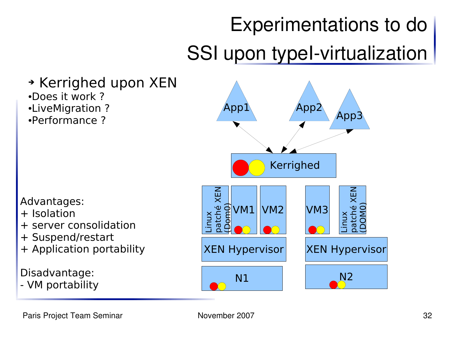## Experimentations to do SSI upon typeI-virtualization

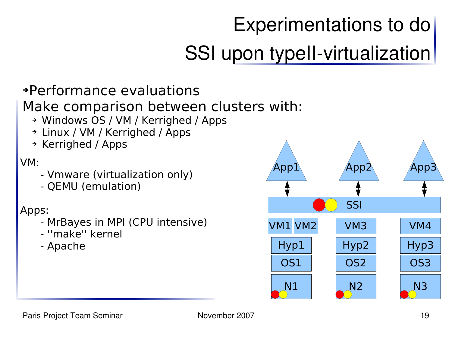## Experimentations to do SSI upon typeII-virtualization

#### ➔Performance evaluations

#### Make comparison between clusters with:

- ➔ Windows OS / VM / Kerrighed / Apps
- ➔ Linux / VM / Kerrighed / Apps
- ➔ Kerrighed / Apps

#### VM:

- Vmware (virtualization only)
- QEMU (emulation)

#### Apps:

- MrBayes in MPI (CPU intensive)
- ''make'' kernel
- Apache

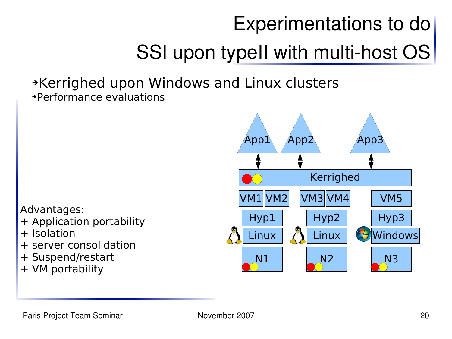## Experimentations to do SSI upon typeII with multi-host OS

#### ➔Kerrighed upon Windows and Linux clusters ➔Performance evaluations

Advantages:

- + Application portability
- + Isolation
- + server consolidation
- + Suspend/restart
- + VM portability

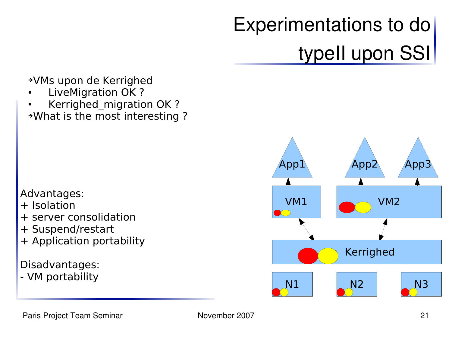## Experimentations to do typeII upon SSI

➔VMs upon de Kerrighed

- LiveMigration OK ?
- Kerrighed migration OK ?

➔What is the most interesting ?

#### Advantages:

- + Isolation
- + server consolidation
- + Suspend/restart
- + Application portability

#### Disadvantages:

- VM portability

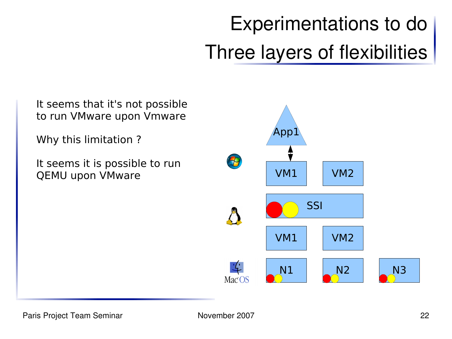## Experimentations to do Three layers of flexibilities

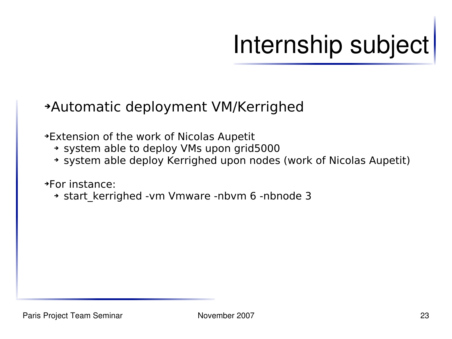# Internship subject

#### ➔Automatic deployment VM/Kerrighed

➔Extension of the work of Nicolas Aupetit

- ➔ system able to deploy VMs upon grid5000
- ➔ system able deploy Kerrighed upon nodes (work of Nicolas Aupetit)

➔For instance:

➔ start\_kerrighed -vm Vmware -nbvm 6 -nbnode 3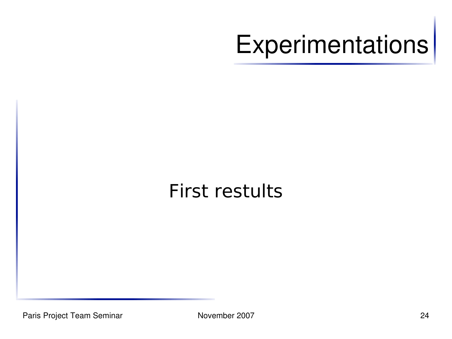# **Experimentations**

### First restults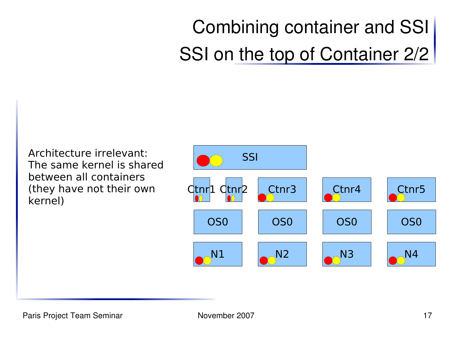## Combining container and SSI SSI on the top of Container 2/2

Architecture irrelevant: The same kernel is shared between all containers (they have not their own kernel)

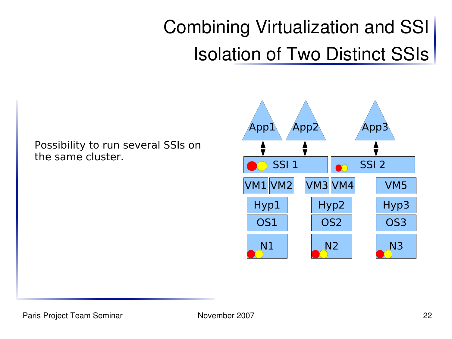## Combining Virtualization and SSI Isolation of Two Distinct SSIs

Possibility to run several SSIs on the same cluster.

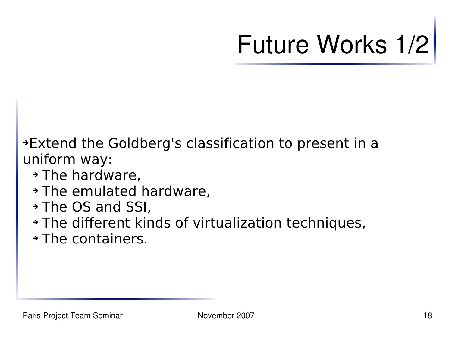# Future Works 1/2

➔Extend the Goldberg's classification to present in a uniform way:

- ➔ The hardware,
- ➔ The emulated hardware,
- ➔ The OS and SSI,
- ➔ The different kinds of virtualization techniques,
- ➔ The containers.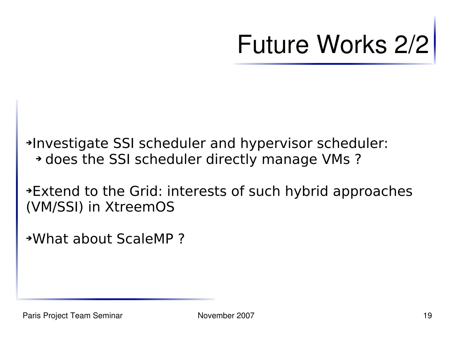# Future Works 2/2

➔Investigate SSI scheduler and hypervisor scheduler: ➔ does the SSI scheduler directly manage VMs ?

➔Extend to the Grid: interests of such hybrid approaches (VM/SSI) in XtreemOS

➔What about ScaleMP ?